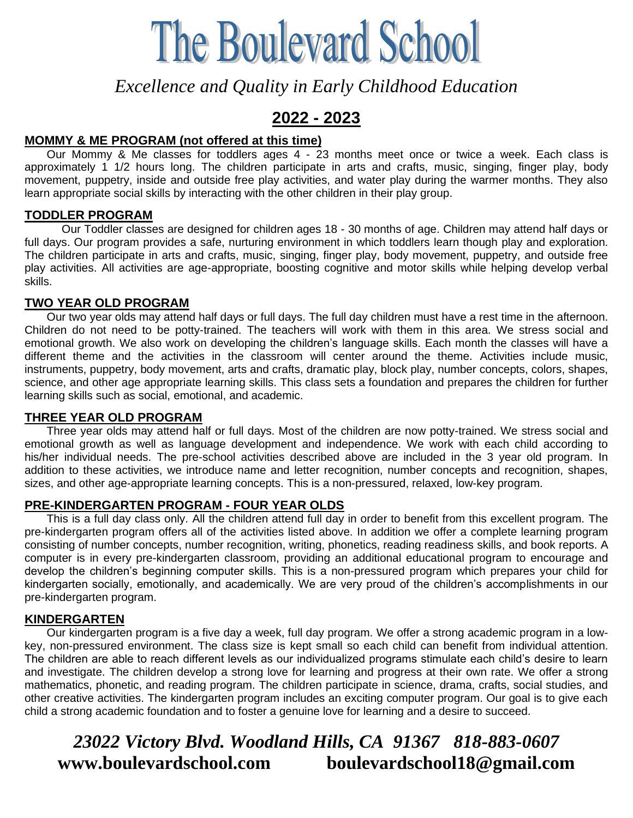# **The Boulevard School**

*Excellence and Quality in Early Childhood Education*

# **2022 - 2023**

#### **MOMMY & ME PROGRAM (not offered at this time)**

 Our Mommy & Me classes for toddlers ages 4 - 23 months meet once or twice a week. Each class is approximately 1 1/2 hours long. The children participate in arts and crafts, music, singing, finger play, body movement, puppetry, inside and outside free play activities, and water play during the warmer months. They also learn appropriate social skills by interacting with the other children in their play group.

#### **TODDLER PROGRAM**

Our Toddler classes are designed for children ages 18 - 30 months of age. Children may attend half days or full days. Our program provides a safe, nurturing environment in which toddlers learn though play and exploration. The children participate in arts and crafts, music, singing, finger play, body movement, puppetry, and outside free play activities. All activities are age-appropriate, boosting cognitive and motor skills while helping develop verbal skills.

#### **TWO YEAR OLD PROGRAM**

 Our two year olds may attend half days or full days. The full day children must have a rest time in the afternoon. Children do not need to be potty-trained. The teachers will work with them in this area. We stress social and emotional growth. We also work on developing the children's language skills. Each month the classes will have a different theme and the activities in the classroom will center around the theme. Activities include music, instruments, puppetry, body movement, arts and crafts, dramatic play, block play, number concepts, colors, shapes, science, and other age appropriate learning skills. This class sets a foundation and prepares the children for further learning skills such as social, emotional, and academic.

#### **THREE YEAR OLD PROGRAM**

 Three year olds may attend half or full days. Most of the children are now potty-trained. We stress social and emotional growth as well as language development and independence. We work with each child according to his/her individual needs. The pre-school activities described above are included in the 3 year old program. In addition to these activities, we introduce name and letter recognition, number concepts and recognition, shapes, sizes, and other age-appropriate learning concepts. This is a non-pressured, relaxed, low-key program.

#### **PRE-KINDERGARTEN PROGRAM - FOUR YEAR OLDS**

 This is a full day class only. All the children attend full day in order to benefit from this excellent program. The pre-kindergarten program offers all of the activities listed above. In addition we offer a complete learning program consisting of number concepts, number recognition, writing, phonetics, reading readiness skills, and book reports. A computer is in every pre-kindergarten classroom, providing an additional educational program to encourage and develop the children's beginning computer skills. This is a non-pressured program which prepares your child for kindergarten socially, emotionally, and academically. We are very proud of the children's accomplishments in our pre-kindergarten program.

#### **KINDERGARTEN**

 Our kindergarten program is a five day a week, full day program. We offer a strong academic program in a lowkey, non-pressured environment. The class size is kept small so each child can benefit from individual attention. The children are able to reach different levels as our individualized programs stimulate each child's desire to learn and investigate. The children develop a strong love for learning and progress at their own rate. We offer a strong mathematics, phonetic, and reading program. The children participate in science, drama, crafts, social studies, and other creative activities. The kindergarten program includes an exciting computer program. Our goal is to give each child a strong academic foundation and to foster a genuine love for learning and a desire to succeed.

## *23022 Victory Blvd. Woodland Hills, CA 91367 818-883-0607*  **www.boulevardschool.com****boulevardschool18@gmail.com**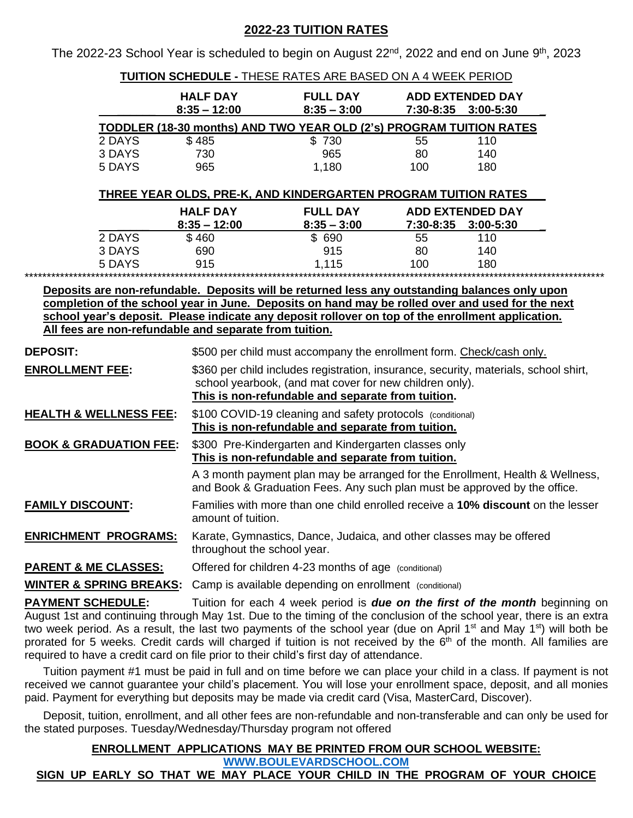#### **2022-23 TUITION RATES**

The 2022-23 School Year is scheduled to begin on August 22<sup>nd</sup>, 2022 and end on June 9<sup>th</sup>, 2023

| <b>TUITION SCHEDULE - THESE RATES ARE BASED ON A 4 WEEK PERIOD</b>                                                                                                                                                                                                                                                                                                                                                                                                                                                                                                                       |                                                                                                                                                            |                                  |                         |     |  |  |
|------------------------------------------------------------------------------------------------------------------------------------------------------------------------------------------------------------------------------------------------------------------------------------------------------------------------------------------------------------------------------------------------------------------------------------------------------------------------------------------------------------------------------------------------------------------------------------------|------------------------------------------------------------------------------------------------------------------------------------------------------------|----------------------------------|-------------------------|-----|--|--|
|                                                                                                                                                                                                                                                                                                                                                                                                                                                                                                                                                                                          | <b>HALF DAY</b>                                                                                                                                            | <b>FULL DAY</b><br>$8:35 - 3:00$ | <b>ADD EXTENDED DAY</b> |     |  |  |
| $8:35 - 12:00$<br>7:30-8:35 3:00-5:30<br>TODDLER (18-30 months) AND TWO YEAR OLD (2's) PROGRAM TUITION RATES                                                                                                                                                                                                                                                                                                                                                                                                                                                                             |                                                                                                                                                            |                                  |                         |     |  |  |
| 2 DAYS                                                                                                                                                                                                                                                                                                                                                                                                                                                                                                                                                                                   | \$485                                                                                                                                                      | \$730                            | 55                      | 110 |  |  |
| 3 DAYS                                                                                                                                                                                                                                                                                                                                                                                                                                                                                                                                                                                   | 730                                                                                                                                                        | 965                              | 80                      | 140 |  |  |
| 5 DAYS                                                                                                                                                                                                                                                                                                                                                                                                                                                                                                                                                                                   | 965                                                                                                                                                        | 1,180                            | 100                     | 180 |  |  |
| THREE YEAR OLDS, PRE-K, AND KINDERGARTEN PROGRAM TUITION RATES                                                                                                                                                                                                                                                                                                                                                                                                                                                                                                                           |                                                                                                                                                            |                                  |                         |     |  |  |
|                                                                                                                                                                                                                                                                                                                                                                                                                                                                                                                                                                                          | <b>HALF DAY</b>                                                                                                                                            | <b>FULL DAY</b>                  | <b>ADD EXTENDED DAY</b> |     |  |  |
|                                                                                                                                                                                                                                                                                                                                                                                                                                                                                                                                                                                          | $8:35 - 12:00$                                                                                                                                             | $8:35 - 3:00$                    | 7:30-8:35 3:00-5:30     |     |  |  |
| 2 DAYS                                                                                                                                                                                                                                                                                                                                                                                                                                                                                                                                                                                   | \$460                                                                                                                                                      | \$ 690                           | 55                      | 110 |  |  |
| 3 DAYS                                                                                                                                                                                                                                                                                                                                                                                                                                                                                                                                                                                   | 690                                                                                                                                                        | 915                              | 80                      | 140 |  |  |
| 5 DAYS                                                                                                                                                                                                                                                                                                                                                                                                                                                                                                                                                                                   | 915                                                                                                                                                        | 1,115                            | 100                     | 180 |  |  |
| Deposits are non-refundable. Deposits will be returned less any outstanding balances only upon                                                                                                                                                                                                                                                                                                                                                                                                                                                                                           |                                                                                                                                                            |                                  |                         |     |  |  |
| completion of the school year in June. Deposits on hand may be rolled over and used for the next                                                                                                                                                                                                                                                                                                                                                                                                                                                                                         |                                                                                                                                                            |                                  |                         |     |  |  |
| school year's deposit. Please indicate any deposit rollover on top of the enrollment application.                                                                                                                                                                                                                                                                                                                                                                                                                                                                                        |                                                                                                                                                            |                                  |                         |     |  |  |
| All fees are non-refundable and separate from tuition.                                                                                                                                                                                                                                                                                                                                                                                                                                                                                                                                   |                                                                                                                                                            |                                  |                         |     |  |  |
| <b>DEPOSIT:</b>                                                                                                                                                                                                                                                                                                                                                                                                                                                                                                                                                                          | \$500 per child must accompany the enrollment form. Check/cash only.                                                                                       |                                  |                         |     |  |  |
| <b>ENROLLMENT FEE:</b>                                                                                                                                                                                                                                                                                                                                                                                                                                                                                                                                                                   | \$360 per child includes registration, insurance, security, materials, school shirt,                                                                       |                                  |                         |     |  |  |
|                                                                                                                                                                                                                                                                                                                                                                                                                                                                                                                                                                                          | school yearbook, (and mat cover for new children only).                                                                                                    |                                  |                         |     |  |  |
|                                                                                                                                                                                                                                                                                                                                                                                                                                                                                                                                                                                          | This is non-refundable and separate from tuition.                                                                                                          |                                  |                         |     |  |  |
| <b>HEALTH &amp; WELLNESS FEE:</b>                                                                                                                                                                                                                                                                                                                                                                                                                                                                                                                                                        | \$100 COVID-19 cleaning and safety protocols (conditional)                                                                                                 |                                  |                         |     |  |  |
|                                                                                                                                                                                                                                                                                                                                                                                                                                                                                                                                                                                          | This is non-refundable and separate from tuition.                                                                                                          |                                  |                         |     |  |  |
| <b>BOOK &amp; GRADUATION FEE:</b>                                                                                                                                                                                                                                                                                                                                                                                                                                                                                                                                                        | \$300 Pre-Kindergarten and Kindergarten classes only                                                                                                       |                                  |                         |     |  |  |
|                                                                                                                                                                                                                                                                                                                                                                                                                                                                                                                                                                                          | This is non-refundable and separate from tuition.                                                                                                          |                                  |                         |     |  |  |
|                                                                                                                                                                                                                                                                                                                                                                                                                                                                                                                                                                                          | A 3 month payment plan may be arranged for the Enrollment, Health & Wellness,<br>and Book & Graduation Fees. Any such plan must be approved by the office. |                                  |                         |     |  |  |
| <b>FAMILY DISCOUNT:</b>                                                                                                                                                                                                                                                                                                                                                                                                                                                                                                                                                                  | Families with more than one child enrolled receive a 10% discount on the lesser                                                                            |                                  |                         |     |  |  |
|                                                                                                                                                                                                                                                                                                                                                                                                                                                                                                                                                                                          | amount of tuition.                                                                                                                                         |                                  |                         |     |  |  |
| <b>ENRICHMENT PROGRAMS:</b>                                                                                                                                                                                                                                                                                                                                                                                                                                                                                                                                                              | Karate, Gymnastics, Dance, Judaica, and other classes may be offered                                                                                       |                                  |                         |     |  |  |
|                                                                                                                                                                                                                                                                                                                                                                                                                                                                                                                                                                                          | throughout the school year.                                                                                                                                |                                  |                         |     |  |  |
| <u>PARENT &amp; ME CLASSES:</u>                                                                                                                                                                                                                                                                                                                                                                                                                                                                                                                                                          | Offered for children 4-23 months of age (conditional)                                                                                                      |                                  |                         |     |  |  |
| <u> WINTER &amp; SPRING BREAKS:</u>                                                                                                                                                                                                                                                                                                                                                                                                                                                                                                                                                      | Camp is available depending on enrollment (conditional)                                                                                                    |                                  |                         |     |  |  |
| <b>PAYMENT SCHEDULE:</b>                                                                                                                                                                                                                                                                                                                                                                                                                                                                                                                                                                 |                                                                                                                                                            |                                  |                         |     |  |  |
| Tuition for each 4 week period is <b>due on the first of the month</b> beginning on<br>August 1st and continuing through May 1st. Due to the timing of the conclusion of the school year, there is an extra<br>two week period. As a result, the last two payments of the school year (due on April 1 <sup>st</sup> and May 1 <sup>st</sup> ) will both be<br>prorated for 5 weeks. Credit cards will charged if tuition is not received by the 6 <sup>th</sup> of the month. All families are<br>required to have a credit card on file prior to their child's first day of attendance. |                                                                                                                                                            |                                  |                         |     |  |  |

Tuition payment #1 must be paid in full and on time before we can place your child in a class. If payment is not received we cannot guarantee your child's placement. You will lose your enrollment space, deposit, and all monies paid. Payment for everything but deposits may be made via credit card (Visa, MasterCard, Discover).

Deposit, tuition, enrollment, and all other fees are non-refundable and non-transferable and can only be used for the stated purposes. Tuesday/Wednesday/Thursday program not offered

#### **ENROLLMENT APPLICATIONS MAY BE PRINTED FROM OUR SCHOOL WEBSITE: [WWW.BOULEVARDSCHOOL.COM](http://www.boulevardschool.com/) SIGN UP EARLY SO THAT WE MAY PLACE YOUR CHILD IN THE PROGRAM OF YOUR CHOICE**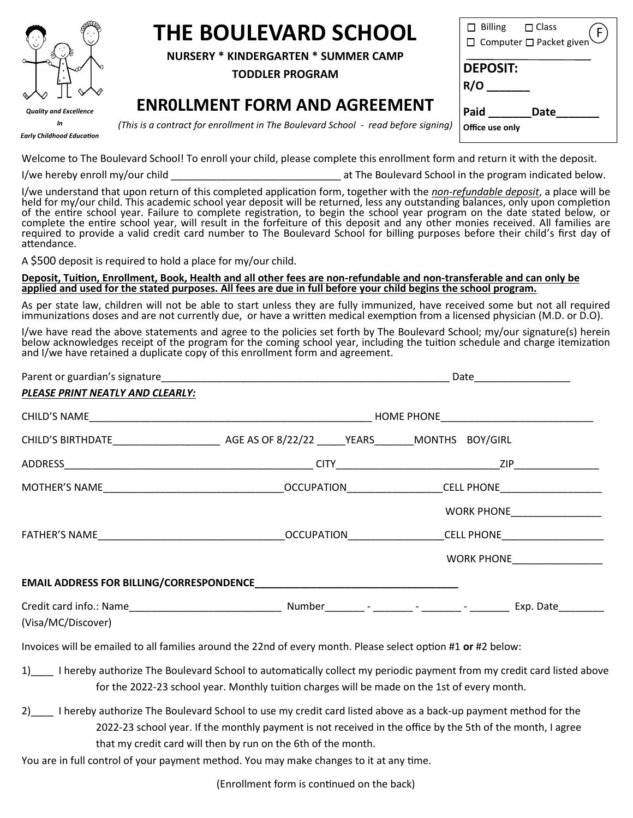

# **THE BOULEVARD SCHOOL**

**NURSERY \* KINDERGARTEN \* SUMMER CAMP**

**TODDLER PROGRAM**

### **ENR0LLMENT FORM AND AGREEMENT**

| $\Box$ Billing $\Box$ Class<br>□ Computer □ Packet given |
|----------------------------------------------------------|
| <b>DEPOSIT:</b><br>R/O                                   |
| Paid<br>Date<br>Office use only                          |

*In Early Childhood Education* *(This is a contract for enrollment in The Boulevard School - read before signing)*

Welcome to The Boulevard School! To enroll your child, please complete this enrollment form and return it with the deposit.

I/we hereby enroll my/our child **Exercise 20** at The Boulevard School in the program indicated below.

I/we understand that upon return of this completed application form, together with the *non-refundable deposit*, a place will be held for my/our child. This academic school year deposit will be returned, less any outstanding balances, only upon completion of the entire school year. Failure to complete registration, to begin the school year program on the date stated below, or complete the entire school year, will result in the forfeiture of this deposit and any other monies received. All families are required to provide a valid credit card number to The Boulevard School for billing purposes before their child's first day of attendance.

A \$500 deposit is required to hold a place for my/our child.

#### **Deposit, Tuition, Enrollment, Book, Health and all other fees are non-refundable and non-transferable and can only be applied and used for the stated purposes. All fees are due in full before your child begins the school program.**

As per state law, children will not be able to start unless they are fully immunized, have received some but not all required immunizations doses and are not currently due, or have a written medical exemption from a licensed physician (M.D. or D.O).

I/we have read the above statements and agree to the policies set forth by The Boulevard School; my/our signature(s) herein below acknowledges receipt of the program for the coming school year, including the tuition schedule and charge itemization and I/we have retained a duplicate copy of this enrollment form and agreement.

| PLEASE PRINT NEATLY AND CLEARLY: |  |                                                       |  |  |  |
|----------------------------------|--|-------------------------------------------------------|--|--|--|
|                                  |  |                                                       |  |  |  |
|                                  |  |                                                       |  |  |  |
|                                  |  |                                                       |  |  |  |
|                                  |  |                                                       |  |  |  |
|                                  |  | WORK PHONE___________________                         |  |  |  |
|                                  |  | FATHER'S NAME <b>Example 20 OCCUPATION CELL PHONE</b> |  |  |  |
|                                  |  | WORK PHONE <b>WORK IN THE REAL PROPERTY</b>           |  |  |  |
|                                  |  |                                                       |  |  |  |
| (Visa/MC/Discover)               |  |                                                       |  |  |  |

Invoices will be emailed to all families around the 22nd of every month. Please select option #1 **or** #2 below:

- 1) lereby authorize The Boulevard School to automatically collect my periodic payment from my credit card listed above for the 2022-23 school year. Monthly tuition charges will be made on the 1st of every month.
- 2) I hereby authorize The Boulevard School to use my credit card listed above as a back-up payment method for the 2022-23 school year. If the monthly payment is not received in the office by the 5th of the month, I agree that my credit card will then by run on the 6th of the month.
- You are in full control of your payment method. You may make changes to it at any time.

(Enrollment form is continued on the back)